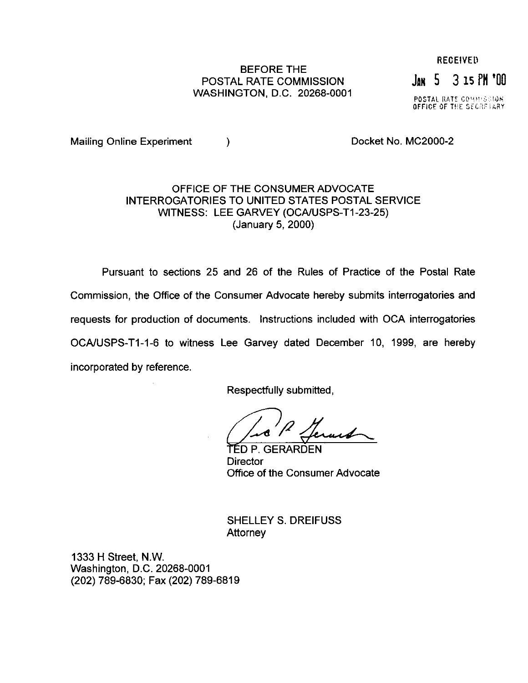## BEFORE THE POSTAL RATE COMMISSION JAN 5 3 15 PM '00

**POSTAL RATE COMMISSION**<br>OFFICE OF THE SECRETARY

Mailing Online Experiment (a) and the control of Docket No. MC2000-2

### OFFICE OF THE CONSUMER ADVOCATE INTERROGATORIES TO UNITED STATES POSTAL SERVICE WITNESS: LEE GARVEY (OCA/USPS-T1-23-25) (January 5, 2000)

Pursuant to sections 25 and 26 of the Rules of Practice of the Postal Rate Commission, the Office of the Consumer Advocate hereby submits interrogatories and requests for production of documents. Instructions included with OCA interrogatories OCA/USPS-T1-1-6 to witness Lee Garvey dated December 10, 1999, are hereby incorporated by reference.

Respectfully submitted,

TED P. GERARDEN **Director** Office of the Consumer Advocate

SHELLEY S. DREIFUSS **Attorney** 

1333 H Street, N.W. Washington, D.C. 20268-0001 (202) 789-6830; Fax (202) 789-6819

# **RECEIVED**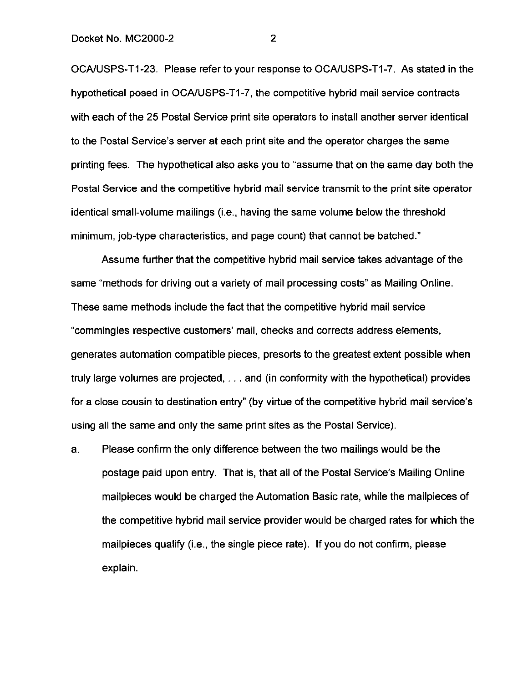OCA/USPS-T1-23. Please refer to your response to OCA/USPS-T1-7. As stated in the hypothetical posed in OCA/USPS-T1-7, the competitive hybrid mail service contracts with each of the 25 Postal Service print site operators to install another server identical to the Postal Service's server at each print site and the operator charges the same printing fees. The hypothetical also asks you to "assume that on the same day both the Postal Service and the competitive hybrid mail service transmit to the print site operator identical small-volume mailings (i.e., having the same volume below the threshold minimum, job-type characteristics, and page count) that cannot be batched."

Assume further that the competitive hybrid mail service takes advantage of the same "methods for driving out a variety of mail processing costs" as Mailing Online. These same methods include the fact that the competitive hybrid mail service "commingles respective customers' mail, checks and corrects address elements, generates automation compatible pieces, presorts to the greatest extent possible when truly large volumes are projected,  $\dots$  and (in conformity with the hypothetical) provides for a close cousin to destination entry" (by virtue of the competitive hybrid mail service's using all the same and only the same print sites as the Postal Service).

a. Please confirm the only difference between the two mailings would be the postage paid upon entry. That is, that all of the Postal Service's Mailing Online mailpieces would be charged the Automation Basic rate, while the mailpieces of the competitive hybrid mail service provider would be charged rates for which the mailpieces qualify (i.e., the single piece rate). If you do not confirm, please explain.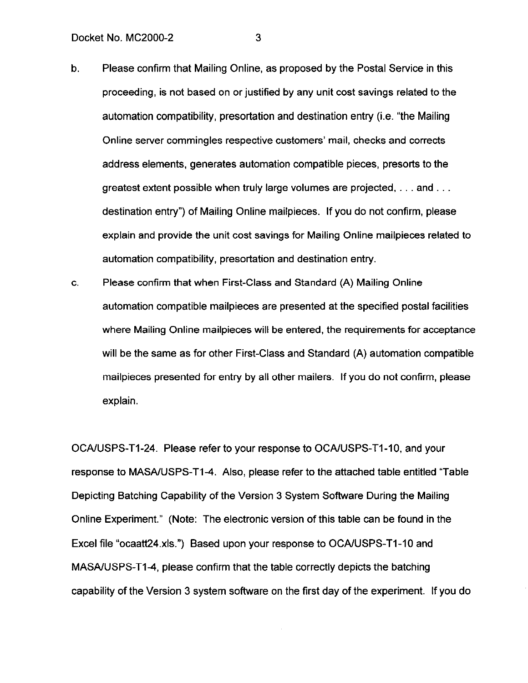- b. Please confirm that Mailing Online, as proposed by the Postal Service in this proceeding, is not based on or justified by any unit cost savings related to the automation compatibility, presortation and destination entry (i.e. "the Mailing Online server commingles respective customers' mail, checks and corrects address elements, generates automation compatible pieces, presorts to the greatest extent possible when truly large volumes are projected,  $\dots$  and  $\dots$ destination entry") of Mailing Online mailpieces. If you do not confirm, please explain and provide the unit cost savings for Mailing Online mailpieces related to automation compatibility, presortation and destination entry.
- C. Please confirm that when First-Class and Standard (A) Mailing Online automation compatible mailpieces are presented at the specified postal facilities where Mailing Online mailpieces will be entered, the requirements for acceptance will be the same as for other First-Class and Standard (A) automation compatible mailpieces presented for entry by all other mailers. If you do not confirm, please explain.

OCA/USPS-T1-24. Please refer to your response to OCA/USPS-T1-10, and your response to MASA/USPS-T1-4. Also, please refer to the attached table entitled "Table" Depicting Batching Capability of the Version 3 System Software During the Mailing Online Experiment." (Note: The electronic version of this table can be found in the Excel file "ocaatt24.xls.") Based upon your response to OCA/USPS-T1-10 and MASA/USPS-T1-4, please confirm that the table correctly depicts the batching capability of the Version 3 system software on the first day of the experiment. If you do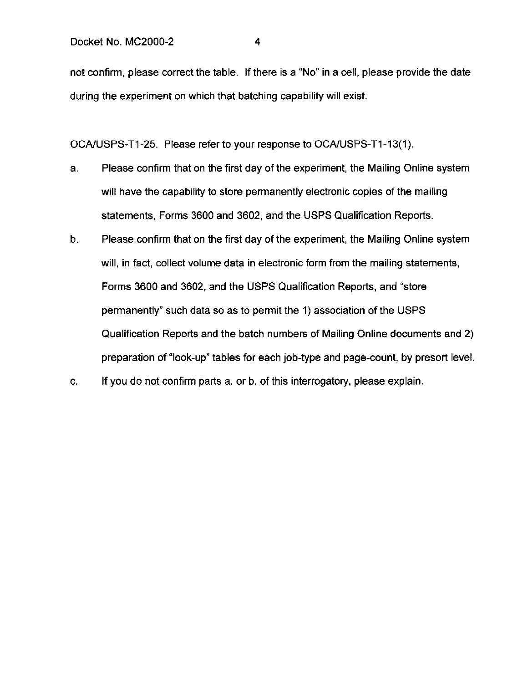not confirm, please correct the table. If there is a "No" in a cell, please provide the date during the experiment on which that batching capability will exist.

OCA/USPS-T1-25. Please refer to your response to OCA/USPS-T1-13(1).

- a. Please confirm that on the first day of the experiment, the Mailing Online system will have the capability to store permanently electronic copies of the mailing statements, Forms 3600 and 3602, and the USPS Qualification Reports.
- b. Please confirm that on the first day of the experiment, the Mailing Online system will, in fact, collect volume data in electronic form from the mailing statements, Forms 3600 and 3602, and the USPS Qualification Reports, and "store permanently" such data so as to permit the 1) association of the USPS Qualification Reports and the batch numbers of Mailing Online documents and 2) preparation of "look-up" tables for each job-type and page-count, by presort level.
- C. If you do not confirm parts a. or b. of this interrogatory, please explain.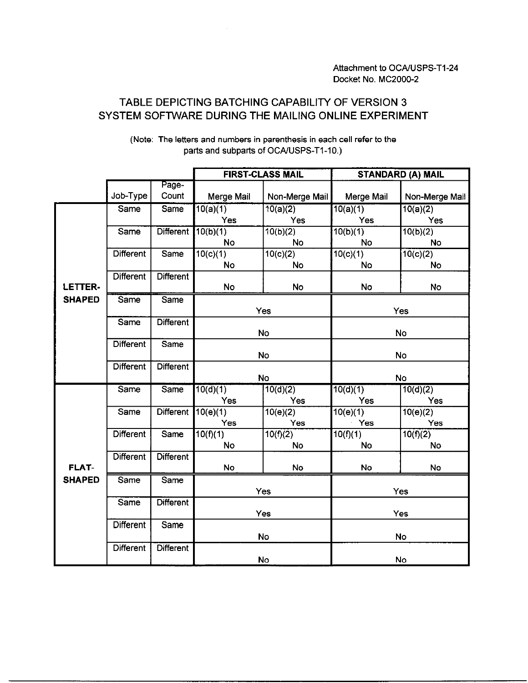## TABLE DEPICTING BATCHING CAPABILITY OF VERSION 3 SYSTEM SOFTWARE DURING THE MAILING ONLINE EXPERIMENT

|                |                  |                  | <b>FIRST-CLASS MAIL</b>           |                | <b>STANDARD (A) MAIL</b> |                          |
|----------------|------------------|------------------|-----------------------------------|----------------|--------------------------|--------------------------|
|                |                  | Page-            |                                   |                |                          |                          |
|                | Job-Type         | Count            | Merge Mail                        | Non-Merge Mail | Merge Mail               | Non-Merge Mail           |
|                | Same             | Same             | 10(a)(1)                          | 10(a)(2)       | $\overline{10(a)(1)}$    | 10(a)(2)                 |
|                |                  |                  | Yes                               | Yes            | <b>Yes</b>               | Yes                      |
|                | Same             | <b>Different</b> | 10(b)(1)                          | 10(b)(2)       | 10(b)(1)                 | 10(b)(2)                 |
|                |                  |                  | No                                | No             | No                       | <b>No</b>                |
|                | <b>Different</b> | Same             | 10(c)(1)                          | 10(c)(2)       | 10(c)(1)                 | 10(c)(2)                 |
|                |                  |                  | No                                | No             | <b>No</b>                | <b>No</b>                |
|                | <b>Different</b> | <b>Different</b> |                                   |                |                          |                          |
| <b>LETTER-</b> |                  |                  | No                                | <b>No</b>      | <b>No</b>                | <b>No</b>                |
| <b>SHAPED</b>  | Same             | Same             |                                   |                |                          |                          |
|                |                  |                  | Yes                               |                | Yes                      |                          |
|                | Same             | <b>Different</b> |                                   |                |                          |                          |
|                |                  |                  | <b>No</b>                         |                | No                       |                          |
|                | <b>Different</b> | Same             |                                   |                |                          |                          |
|                |                  |                  | <b>No</b>                         |                | No                       |                          |
|                | <b>Different</b> | <b>Different</b> |                                   |                |                          |                          |
|                | <b>Same</b>      | <b>Same</b>      | <b>No</b><br>10(d)(1)<br>10(d)(2) |                | No                       |                          |
|                |                  |                  | Yes                               | Yes            | 10(d)(1)<br>Yes          | $\sqrt{10(d)}(2)$<br>Yes |
|                | Same             | <b>Different</b> | $\sqrt{10(e)}(1)$                 | 10(e)(2)       | 10(e)(1)                 | 10(e)(2)                 |
|                |                  |                  | Yes                               | Yes            | Yes                      | Yes                      |
|                | <b>Different</b> | Same             | 10(f)(1)                          | 10(f)(2)       | 10(f)(1)                 | 10(f)(2)                 |
|                |                  |                  | <b>No</b>                         | No             | <b>No</b>                | <b>No</b>                |
|                | <b>Different</b> | <b>Different</b> |                                   |                |                          |                          |
| <b>FLAT-</b>   |                  |                  | <b>No</b>                         | No             | <b>No</b>                | <b>No</b>                |
| <b>SHAPED</b>  | Same             | Same             |                                   |                |                          |                          |
|                |                  |                  | Yes                               |                | Yes                      |                          |
|                | Same             | <b>Different</b> |                                   |                |                          |                          |
|                |                  |                  | Yes                               |                | Yes                      |                          |
|                | <b>Different</b> | Same             |                                   |                |                          |                          |
|                |                  |                  | <b>No</b>                         |                | No                       |                          |
|                | <b>Different</b> | Different        |                                   |                |                          |                          |
|                |                  |                  | No                                |                | No                       |                          |

(Note: The letters and numbers in parenthesis in each cell refer to the parts and subparts of OCA/USPS-T1-10.)